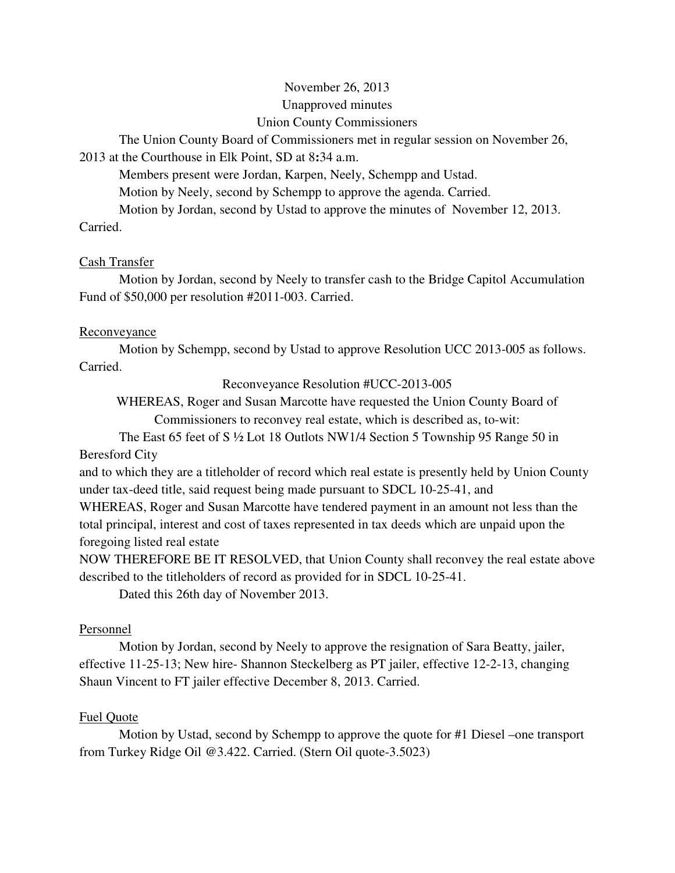# November 26, 2013 Unapproved minutes Union County Commissioners

The Union County Board of Commissioners met in regular session on November 26,

# 2013 at the Courthouse in Elk Point, SD at 8**:**34 a.m.

Members present were Jordan, Karpen, Neely, Schempp and Ustad.

Motion by Neely, second by Schempp to approve the agenda. Carried.

Motion by Jordan, second by Ustad to approve the minutes of November 12, 2013.

Carried.

# Cash Transfer

 Motion by Jordan, second by Neely to transfer cash to the Bridge Capitol Accumulation Fund of \$50,000 per resolution #2011-003. Carried.

## **Reconveyance**

 Motion by Schempp, second by Ustad to approve Resolution UCC 2013-005 as follows. Carried.

Reconveyance Resolution #UCC-2013-005

WHEREAS, Roger and Susan Marcotte have requested the Union County Board of Commissioners to reconvey real estate, which is described as, to-wit:

 The East 65 feet of S ½ Lot 18 Outlots NW1/4 Section 5 Township 95 Range 50 in Beresford City

and to which they are a titleholder of record which real estate is presently held by Union County under tax-deed title, said request being made pursuant to SDCL 10-25-41, and

WHEREAS, Roger and Susan Marcotte have tendered payment in an amount not less than the total principal, interest and cost of taxes represented in tax deeds which are unpaid upon the foregoing listed real estate

NOW THEREFORE BE IT RESOLVED, that Union County shall reconvey the real estate above described to the titleholders of record as provided for in SDCL 10-25-41.

Dated this 26th day of November 2013.

# Personnel

 Motion by Jordan, second by Neely to approve the resignation of Sara Beatty, jailer, effective 11-25-13; New hire- Shannon Steckelberg as PT jailer, effective 12-2-13, changing Shaun Vincent to FT jailer effective December 8, 2013. Carried.

# Fuel Quote

 Motion by Ustad, second by Schempp to approve the quote for #1 Diesel –one transport from Turkey Ridge Oil @3.422. Carried. (Stern Oil quote-3.5023)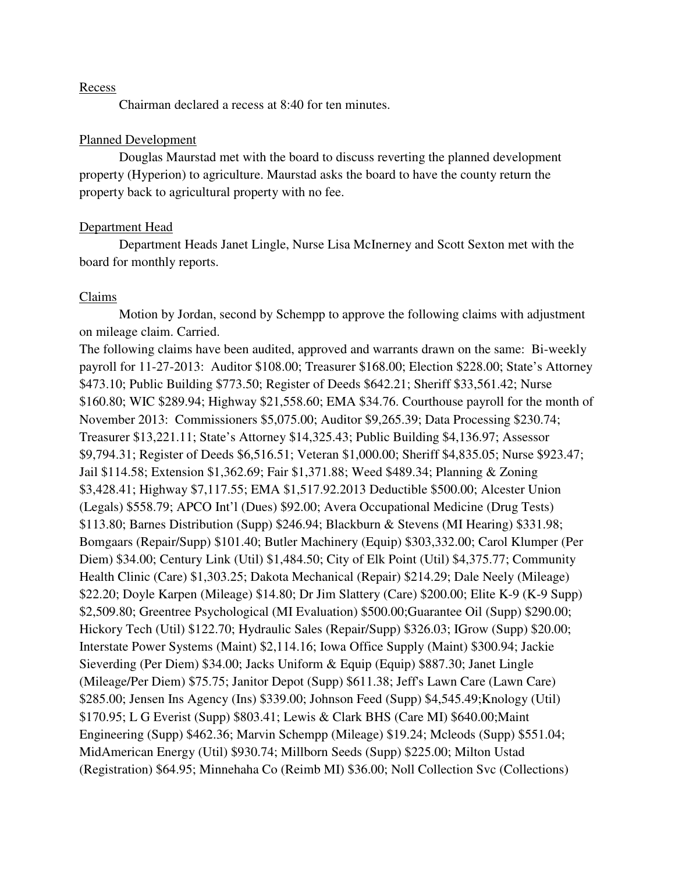#### Recess

Chairman declared a recess at 8:40 for ten minutes.

#### Planned Development

 Douglas Maurstad met with the board to discuss reverting the planned development property (Hyperion) to agriculture. Maurstad asks the board to have the county return the property back to agricultural property with no fee.

#### Department Head

 Department Heads Janet Lingle, Nurse Lisa McInerney and Scott Sexton met with the board for monthly reports.

#### Claims

 Motion by Jordan, second by Schempp to approve the following claims with adjustment on mileage claim. Carried.

The following claims have been audited, approved and warrants drawn on the same: Bi-weekly payroll for 11-27-2013: Auditor \$108.00; Treasurer \$168.00; Election \$228.00; State's Attorney \$473.10; Public Building \$773.50; Register of Deeds \$642.21; Sheriff \$33,561.42; Nurse \$160.80; WIC \$289.94; Highway \$21,558.60; EMA \$34.76. Courthouse payroll for the month of November 2013: Commissioners \$5,075.00; Auditor \$9,265.39; Data Processing \$230.74; Treasurer \$13,221.11; State's Attorney \$14,325.43; Public Building \$4,136.97; Assessor \$9,794.31; Register of Deeds \$6,516.51; Veteran \$1,000.00; Sheriff \$4,835.05; Nurse \$923.47; Jail \$114.58; Extension \$1,362.69; Fair \$1,371.88; Weed \$489.34; Planning & Zoning \$3,428.41; Highway \$7,117.55; EMA \$1,517.92.2013 Deductible \$500.00; Alcester Union (Legals) \$558.79; APCO Int'l (Dues) \$92.00; Avera Occupational Medicine (Drug Tests) \$113.80; Barnes Distribution (Supp) \$246.94; Blackburn & Stevens (MI Hearing) \$331.98; Bomgaars (Repair/Supp) \$101.40; Butler Machinery (Equip) \$303,332.00; Carol Klumper (Per Diem) \$34.00; Century Link (Util) \$1,484.50; City of Elk Point (Util) \$4,375.77; Community Health Clinic (Care) \$1,303.25; Dakota Mechanical (Repair) \$214.29; Dale Neely (Mileage) \$22.20; Doyle Karpen (Mileage) \$14.80; Dr Jim Slattery (Care) \$200.00; Elite K-9 (K-9 Supp) \$2,509.80; Greentree Psychological (MI Evaluation) \$500.00;Guarantee Oil (Supp) \$290.00; Hickory Tech (Util) \$122.70; Hydraulic Sales (Repair/Supp) \$326.03; IGrow (Supp) \$20.00; Interstate Power Systems (Maint) \$2,114.16; Iowa Office Supply (Maint) \$300.94; Jackie Sieverding (Per Diem) \$34.00; Jacks Uniform & Equip (Equip) \$887.30; Janet Lingle (Mileage/Per Diem) \$75.75; Janitor Depot (Supp) \$611.38; Jeff's Lawn Care (Lawn Care) \$285.00; Jensen Ins Agency (Ins) \$339.00; Johnson Feed (Supp) \$4,545.49;Knology (Util) \$170.95; L G Everist (Supp) \$803.41; Lewis & Clark BHS (Care MI) \$640.00;Maint Engineering (Supp) \$462.36; Marvin Schempp (Mileage) \$19.24; Mcleods (Supp) \$551.04; MidAmerican Energy (Util) \$930.74; Millborn Seeds (Supp) \$225.00; Milton Ustad (Registration) \$64.95; Minnehaha Co (Reimb MI) \$36.00; Noll Collection Svc (Collections)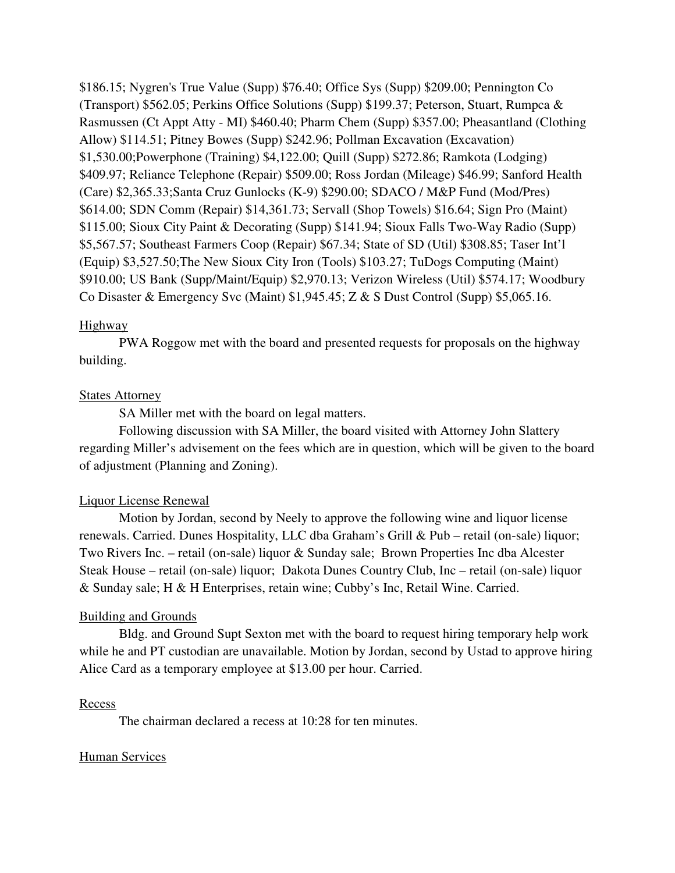\$186.15; Nygren's True Value (Supp) \$76.40; Office Sys (Supp) \$209.00; Pennington Co (Transport) \$562.05; Perkins Office Solutions (Supp) \$199.37; Peterson, Stuart, Rumpca & Rasmussen (Ct Appt Atty - MI) \$460.40; Pharm Chem (Supp) \$357.00; Pheasantland (Clothing Allow) \$114.51; Pitney Bowes (Supp) \$242.96; Pollman Excavation (Excavation) \$1,530.00;Powerphone (Training) \$4,122.00; Quill (Supp) \$272.86; Ramkota (Lodging) \$409.97; Reliance Telephone (Repair) \$509.00; Ross Jordan (Mileage) \$46.99; Sanford Health (Care) \$2,365.33;Santa Cruz Gunlocks (K-9) \$290.00; SDACO / M&P Fund (Mod/Pres) \$614.00; SDN Comm (Repair) \$14,361.73; Servall (Shop Towels) \$16.64; Sign Pro (Maint) \$115.00; Sioux City Paint & Decorating (Supp) \$141.94; Sioux Falls Two-Way Radio (Supp) \$5,567.57; Southeast Farmers Coop (Repair) \$67.34; State of SD (Util) \$308.85; Taser Int'l (Equip) \$3,527.50;The New Sioux City Iron (Tools) \$103.27; TuDogs Computing (Maint) \$910.00; US Bank (Supp/Maint/Equip) \$2,970.13; Verizon Wireless (Util) \$574.17; Woodbury Co Disaster & Emergency Svc (Maint) \$1,945.45; Z & S Dust Control (Supp) \$5,065.16.

## Highway

 PWA Roggow met with the board and presented requests for proposals on the highway building.

## **States Attorney**

SA Miller met with the board on legal matters.

 Following discussion with SA Miller, the board visited with Attorney John Slattery regarding Miller's advisement on the fees which are in question, which will be given to the board of adjustment (Planning and Zoning).

### Liquor License Renewal

 Motion by Jordan, second by Neely to approve the following wine and liquor license renewals. Carried. Dunes Hospitality, LLC dba Graham's Grill & Pub – retail (on-sale) liquor; Two Rivers Inc. – retail (on-sale) liquor & Sunday sale; Brown Properties Inc dba Alcester Steak House – retail (on-sale) liquor; Dakota Dunes Country Club, Inc – retail (on-sale) liquor & Sunday sale; H & H Enterprises, retain wine; Cubby's Inc, Retail Wine. Carried.

### Building and Grounds

 Bldg. and Ground Supt Sexton met with the board to request hiring temporary help work while he and PT custodian are unavailable. Motion by Jordan, second by Ustad to approve hiring Alice Card as a temporary employee at \$13.00 per hour. Carried.

### Recess

The chairman declared a recess at 10:28 for ten minutes.

### Human Services